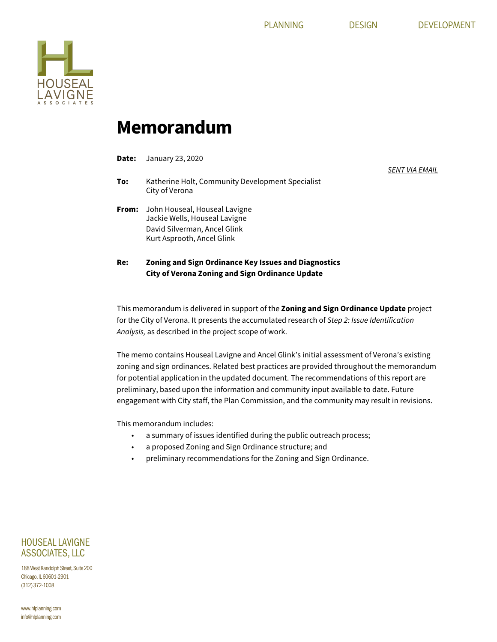*SENT VIA EMAIL*



## **Memorandum**

| Re:   | Zoning and Sign Ordinance Key Issues and Diagnostics                                                                         |
|-------|------------------------------------------------------------------------------------------------------------------------------|
| From: | John Houseal, Houseal Lavigne<br>Jackie Wells, Houseal Lavigne<br>David Silverman, Ancel Glink<br>Kurt Asprooth, Ancel Glink |
| To:   | Katherine Holt, Community Development Specialist<br>City of Verona                                                           |
| Date: | January 23, 2020                                                                                                             |

**City of Verona Zoning and Sign Ordinance Update** 

This memorandum is delivered in support of the **Zoning and Sign Ordinance Update** project for the City of Verona. It presents the accumulated research of *Step 2: Issue Identification Analysis,* as described in the project scope of work.

The memo contains Houseal Lavigne and Ancel Glink's initial assessment of Verona's existing zoning and sign ordinances. Related best practices are provided throughout the memorandum for potential application in the updated document. The recommendations of this report are preliminary, based upon the information and community input available to date. Future engagement with City staff, the Plan Commission, and the community may result in revisions.

This memorandum includes:

- a summary of issues identified during the public outreach process;
- a proposed Zoning and Sign Ordinance structure; and
- preliminary recommendations for the Zoning and Sign Ordinance.

HOUSEAL LAVIGNE ASSOCIATES, LLC

188 West Randolph Street, Suite 200 Chicago, IL 60601-2901 (312) 372-1008

www.hlplanning.com info@hlplanning.com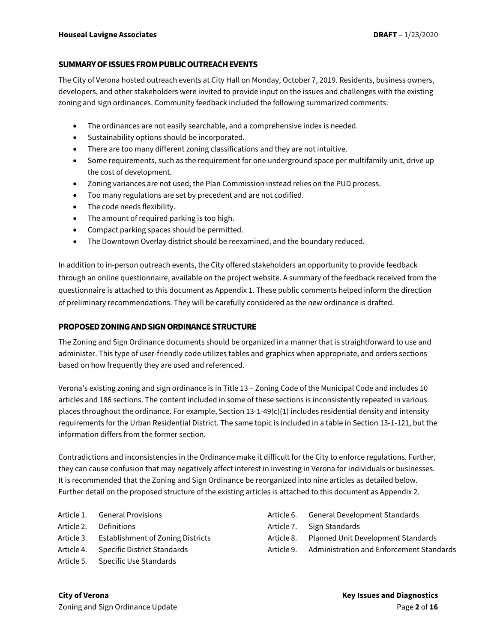#### **SUMMARY OF ISSUES FROM PUBLIC OUTREACHEVENTS**

The City of Verona hosted outreach events at City Hall on Monday, October 7, 2019. Residents, business owners, developers, and other stakeholders were invited to provide input on the issues and challenges with the existing zoning and sign ordinances. Community feedback included the following summarized comments:

- The ordinances are not easily searchable, and a comprehensive index is needed.
- Sustainability options should be incorporated.
- There are too many different zoning classifications and they are not intuitive.
- Some requirements, such as the requirement for one underground space per multifamily unit, drive up the cost of development.
- Zoning variances are not used; the Plan Commission instead relies on the PUD process.
- Too many regulations are set by precedent and are not codified.
- The code needs flexibility.
- The amount of required parking is too high.
- Compact parking spaces should be permitted.
- The Downtown Overlay district should be reexamined, and the boundary reduced.

In addition to in-person outreach events, the City offered stakeholders an opportunity to provide feedback through an online questionnaire, available on the project website. A summary of the feedback received from the questionnaire is attached to this document as Appendix 1. These public comments helped inform the direction of preliminary recommendations. They will be carefully considered as the new ordinance is drafted.

#### **PROPOSED ZONING AND SIGN ORDINANCE STRUCTURE**

The Zoning and Sign Ordinance documents should be organized in a manner that is straightforward to use and administer. This type of user-friendly code utilizes tables and graphics when appropriate, and orders sections based on how frequently they are used and referenced.

Verona's existing zoning and sign ordinance is in Title 13 – Zoning Code of the Municipal Code and includes 10 articles and 186 sections. The content included in some of these sections is inconsistently repeated in various places throughout the ordinance. For example, Section  $13-1-49(c)(1)$  includes residential density and intensity requirements for the Urban Residential District. The same topic is included in a table in Section 13-1-121, but the information differs from the former section.

Contradictions and inconsistencies in the Ordinance make it difficult for the City to enforce regulations. Further, they can cause confusion that may negatively affect interest in investing in Verona for individuals or businesses. It is recommended that the Zoning and Sign Ordinance be reorganized into nine articles as detailed below. Further detail on the proposed structure of the existing articles is attached to this document as Appendix 2.

- Article 1. General Provisions Article 2. Definitions Article 3. Establishment of Zoning Districts
- Article 4. Specific District Standards
- Article 5. Specific Use Standards
- Article 6. General Development Standards
- Article 7. Sign Standards
- Article 8. Planned Unit Development Standards
- Article 9. Administration and Enforcement Standards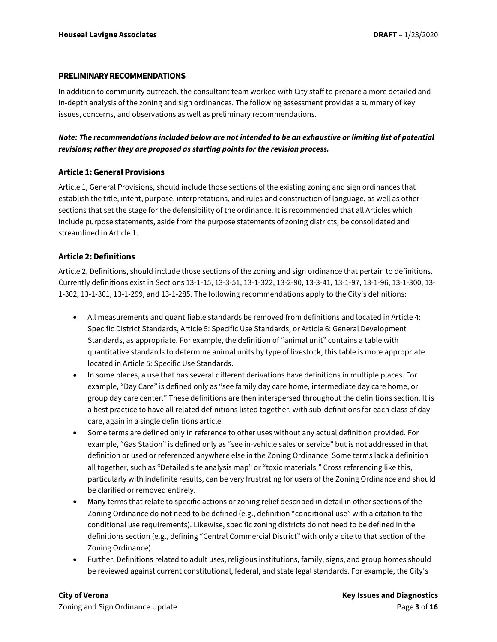#### **PRELIMINARY RECOMMENDATIONS**

In addition to community outreach, the consultant team worked with City staff to prepare a more detailed and in-depth analysis of the zoning and sign ordinances. The following assessment provides a summary of key issues, concerns, and observations as well as preliminary recommendations.

### *Note: The recommendations included below are not intended to be an exhaustive or limiting list of potential revisions; rather they are proposed as starting points for the revision process.*

#### **Article 1: General Provisions**

Article 1, General Provisions, should include those sections of the existing zoning and sign ordinances that establish the title, intent, purpose, interpretations, and rules and construction of language, as well as other sections that set the stage for the defensibility of the ordinance. It is recommended that all Articles which include purpose statements, aside from the purpose statements of zoning districts, be consolidated and streamlined in Article 1.

### **Article 2: Definitions**

Article 2, Definitions, should include those sections of the zoning and sign ordinance that pertain to definitions. Currently definitions exist in Sections 13-1-15, 13-3-51, 13-1-322, 13-2-90, 13-3-41, 13-1-97, 13-1-96, 13-1-300, 13- 1-302, 13-1-301, 13-1-299, and 13-1-285. The following recommendations apply to the City's definitions:

- All measurements and quantifiable standards be removed from definitions and located in Article 4: Specific District Standards, Article 5: Specific Use Standards, or Article 6: General Development Standards, as appropriate. For example, the definition of "animal unit" contains a table with quantitative standards to determine animal units by type of livestock, this table is more appropriate located in Article 5: Specific Use Standards.
- In some places, a use that has several different derivations have definitions in multiple places. For example, "Day Care" is defined only as "see family day care home, intermediate day care home, or group day care center." These definitions are then interspersed throughout the definitions section. It is a best practice to have all related definitions listed together, with sub-definitions for each class of day care, again in a single definitions article.
- Some terms are defined only in reference to other uses without any actual definition provided. For example, "Gas Station" is defined only as "see in-vehicle sales or service" but is not addressed in that definition or used or referenced anywhere else in the Zoning Ordinance. Some terms lack a definition all together, such as "Detailed site analysis map" or "toxic materials." Cross referencing like this, particularly with indefinite results, can be very frustrating for users of the Zoning Ordinance and should be clarified or removed entirely.
- Many terms that relate to specific actions or zoning relief described in detail in other sections of the Zoning Ordinance do not need to be defined (e.g., definition "conditional use" with a citation to the conditional use requirements). Likewise, specific zoning districts do not need to be defined in the definitions section (e.g., defining "Central Commercial District" with only a cite to that section of the Zoning Ordinance).
- Further, Definitions related to adult uses, religious institutions, family, signs, and group homes should be reviewed against current constitutional, federal, and state legal standards. For example, the City's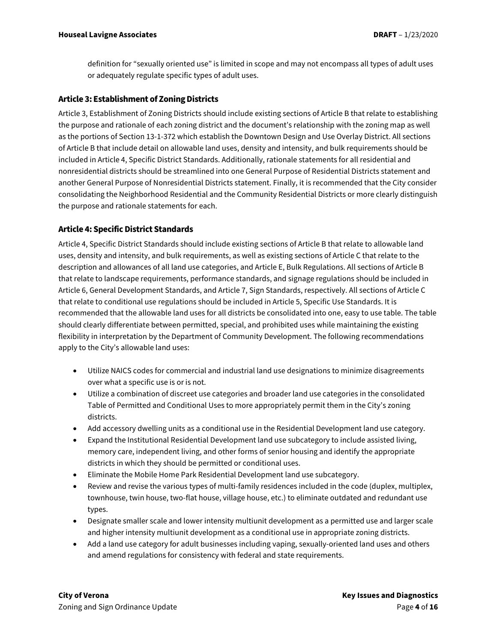definition for "sexually oriented use" is limited in scope and may not encompass all types of adult uses or adequately regulate specific types of adult uses.

#### **Article 3: Establishment of Zoning Districts**

Article 3, Establishment of Zoning Districts should include existing sections of Article B that relate to establishing the purpose and rationale of each zoning district and the document's relationship with the zoning map as well as the portions of Section 13-1-372 which establish the Downtown Design and Use Overlay District. All sections of Article B that include detail on allowable land uses, density and intensity, and bulk requirements should be included in Article 4, Specific District Standards. Additionally, rationale statements for all residential and nonresidential districts should be streamlined into one General Purpose of Residential Districts statement and another General Purpose of Nonresidential Districts statement. Finally, it is recommended that the City consider consolidating the Neighborhood Residential and the Community Residential Districts or more clearly distinguish the purpose and rationale statements for each.

### **Article 4: Specific District Standards**

Article 4, Specific District Standards should include existing sections of Article B that relate to allowable land uses, density and intensity, and bulk requirements, as well as existing sections of Article C that relate to the description and allowances of all land use categories, and Article E, Bulk Regulations. All sections of Article B that relate to landscape requirements, performance standards, and signage regulations should be included in Article 6, General Development Standards, and Article 7, Sign Standards, respectively. All sections of Article C that relate to conditional use regulations should be included in Article 5, Specific Use Standards. It is recommended that the allowable land uses for all districts be consolidated into one, easy to use table. The table should clearly differentiate between permitted, special, and prohibited uses while maintaining the existing flexibility in interpretation by the Department of Community Development. The following recommendations apply to the City's allowable land uses:

- Utilize NAICS codes for commercial and industrial land use designations to minimize disagreements over what a specific use is or is not.
- Utilize a combination of discreet use categories and broader land use categories in the consolidated Table of Permitted and Conditional Uses to more appropriately permit them in the City's zoning districts.
- Add accessory dwelling units as a conditional use in the Residential Development land use category.
- Expand the Institutional Residential Development land use subcategory to include assisted living, memory care, independent living, and other forms of senior housing and identify the appropriate districts in which they should be permitted or conditional uses.
- Eliminate the Mobile Home Park Residential Development land use subcategory.
- Review and revise the various types of multi-family residences included in the code (duplex, multiplex, townhouse, twin house, two-flat house, village house, etc.) to eliminate outdated and redundant use types.
- Designate smaller scale and lower intensity multiunit development as a permitted use and larger scale and higher intensity multiunit development as a conditional use in appropriate zoning districts.
- Add a land use category for adult businesses including vaping, sexually-oriented land uses and others and amend regulations for consistency with federal and state requirements.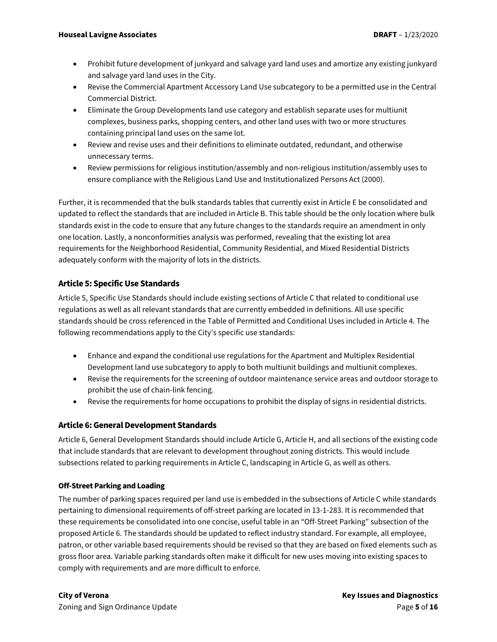- Prohibit future development of junkyard and salvage yard land uses and amortize any existing junkyard and salvage yard land uses in the City.
- Revise the Commercial Apartment Accessory Land Use subcategory to be a permitted use in the Central Commercial District.
- Eliminate the Group Developments land use category and establish separate uses for multiunit complexes, business parks, shopping centers, and other land uses with two or more structures containing principal land uses on the same lot.
- Review and revise uses and their definitions to eliminate outdated, redundant, and otherwise unnecessary terms.
- Review permissions for religious institution/assembly and non-religious institution/assembly uses to ensure compliance with the Religious Land Use and Institutionalized Persons Act (2000).

Further, it is recommended that the bulk standards tables that currently exist in Article E be consolidated and updated to reflect the standards that are included in Article B. This table should be the only location where bulk standards exist in the code to ensure that any future changes to the standards require an amendment in only one location. Lastly, a nonconformities analysis was performed, revealing that the existing lot area requirements for the Neighborhood Residential, Community Residential, and Mixed Residential Districts adequately conform with the majority of lots in the districts.

## **Article 5: Specific Use Standards**

Article 5, Specific Use Standards should include existing sections of Article C that related to conditional use regulations as well as all relevant standards that are currently embedded in definitions. All use specific standards should be cross referenced in the Table of Permitted and Conditional Uses included in Article 4. The following recommendations apply to the City's specific use standards:

- Enhance and expand the conditional use regulations for the Apartment and Multiplex Residential Development land use subcategory to apply to both multiunit buildings and multiunit complexes.
- Revise the requirements for the screening of outdoor maintenance service areas and outdoor storage to prohibit the use of chain-link fencing.
- Revise the requirements for home occupations to prohibit the display of signs in residential districts.

## **Article 6: General Development Standards**

Article 6, General Development Standards should include Article G, Article H, and all sections of the existing code that include standards that are relevant to development throughout zoning districts. This would include subsections related to parking requirements in Article C, landscaping in Article G, as well as others.

### **Off-Street Parking and Loading**

The number of parking spaces required per land use is embedded in the subsections of Article C while standards pertaining to dimensional requirements of off-street parking are located in 13-1-283. It is recommended that these requirements be consolidated into one concise, useful table in an "Off-Street Parking" subsection of the proposed Article 6. The standards should be updated to reflect industry standard. For example, all employee, patron, or other variable based requirements should be revised so that they are based on fixed elements such as gross floor area. Variable parking standards often make it difficult for new uses moving into existing spaces to comply with requirements and are more difficult to enforce.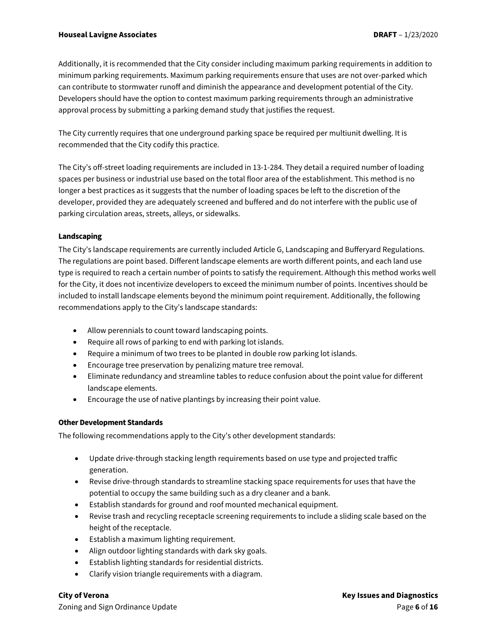Additionally, it is recommended that the City consider including maximum parking requirements in addition to minimum parking requirements. Maximum parking requirements ensure that uses are not over-parked which can contribute to stormwater runoff and diminish the appearance and development potential of the City. Developers should have the option to contest maximum parking requirements through an administrative approval process by submitting a parking demand study that justifies the request.

The City currently requires that one underground parking space be required per multiunit dwelling. It is recommended that the City codify this practice.

The City's off-street loading requirements are included in 13-1-284. They detail a required number of loading spaces per business or industrial use based on the total floor area of the establishment. This method is no longer a best practices as it suggests that the number of loading spaces be left to the discretion of the developer, provided they are adequately screened and buffered and do not interfere with the public use of parking circulation areas, streets, alleys, or sidewalks.

#### **Landscaping**

The City's landscape requirements are currently included Article G, Landscaping and Bufferyard Regulations. The regulations are point based. Different landscape elements are worth different points, and each land use type is required to reach a certain number of points to satisfy the requirement. Although this method works well for the City, it does not incentivize developers to exceed the minimum number of points. Incentives should be included to install landscape elements beyond the minimum point requirement. Additionally, the following recommendations apply to the City's landscape standards:

- Allow perennials to count toward landscaping points.
- Require all rows of parking to end with parking lot islands.
- Require a minimum of two trees to be planted in double row parking lot islands.
- Encourage tree preservation by penalizing mature tree removal.
- Eliminate redundancy and streamline tables to reduce confusion about the point value for different landscape elements.
- Encourage the use of native plantings by increasing their point value.

#### **Other Development Standards**

The following recommendations apply to the City's other development standards:

- Update drive-through stacking length requirements based on use type and projected traffic generation.
- Revise drive-through standards to streamline stacking space requirements for uses that have the potential to occupy the same building such as a dry cleaner and a bank.
- Establish standards for ground and roof mounted mechanical equipment.
- Revise trash and recycling receptacle screening requirements to include a sliding scale based on the height of the receptacle.
- Establish a maximum lighting requirement.
- Align outdoor lighting standards with dark sky goals.
- Establish lighting standards for residential districts.
- Clarify vision triangle requirements with a diagram.

Zoning and Sign Ordinance Update Page **6** of **16**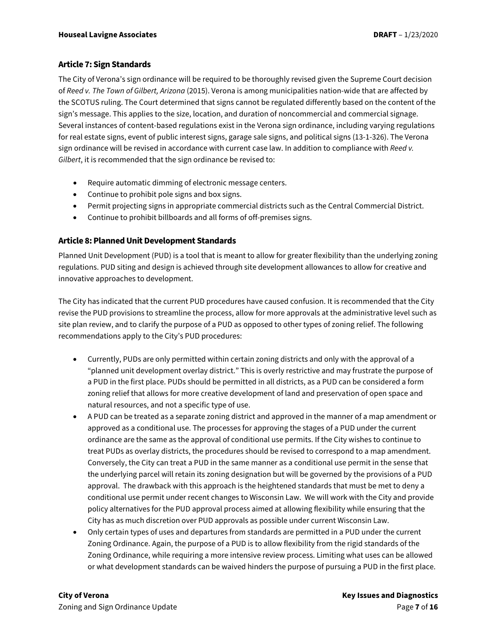### **Article 7: Sign Standards**

The City of Verona's sign ordinance will be required to be thoroughly revised given the Supreme Court decision of *Reed v. The Town of Gilbert, Arizona* (2015). Verona is among municipalities nation-wide that are affected by the SCOTUS ruling. The Court determined that signs cannot be regulated differently based on the content of the sign's message. This applies to the size, location, and duration of noncommercial and commercial signage. Several instances of content-based regulations exist in the Verona sign ordinance, including varying regulations for real estate signs, event of public interest signs, garage sale signs, and political signs (13-1-326). The Verona sign ordinance will be revised in accordance with current case law. In addition to compliance with *Reed v. Gilbert*, it is recommended that the sign ordinance be revised to:

- Require automatic dimming of electronic message centers.
- Continue to prohibit pole signs and box signs.
- Permit projecting signs in appropriate commercial districts such as the Central Commercial District.
- Continue to prohibit billboards and all forms of off-premises signs.

### **Article 8: PlannedUnit Development Standards**

Planned Unit Development (PUD) is a tool that is meant to allow for greater flexibility than the underlying zoning regulations. PUD siting and design is achieved through site development allowances to allow for creative and innovative approaches to development.

The City has indicated that the current PUD procedures have caused confusion. It is recommended that the City revise the PUD provisions to streamline the process, allow for more approvals at the administrative level such as site plan review, and to clarify the purpose of a PUD as opposed to other types of zoning relief. The following recommendations apply to the City's PUD procedures:

- Currently, PUDs are only permitted within certain zoning districts and only with the approval of a "planned unit development overlay district." This is overly restrictive and may frustrate the purpose of a PUD in the first place. PUDs should be permitted in all districts, as a PUD can be considered a form zoning relief that allows for more creative development of land and preservation of open space and natural resources, and not a specific type of use.
- A PUD can be treated as a separate zoning district and approved in the manner of a map amendment or approved as a conditional use. The processes for approving the stages of a PUD under the current ordinance are the same as the approval of conditional use permits. If the City wishes to continue to treat PUDs as overlay districts, the procedures should be revised to correspond to a map amendment. Conversely, the City can treat a PUD in the same manner as a conditional use permit in the sense that the underlying parcel will retain its zoning designation but will be governed by the provisions of a PUD approval. The drawback with this approach is the heightened standards that must be met to deny a conditional use permit under recent changes to Wisconsin Law. We will work with the City and provide policy alternatives for the PUD approval process aimed at allowing flexibility while ensuring that the City has as much discretion over PUD approvals as possible under current Wisconsin Law.
- Only certain types of uses and departures from standards are permitted in a PUD under the current Zoning Ordinance. Again, the purpose of a PUD is to allow flexibility from the rigid standards of the Zoning Ordinance, while requiring a more intensive review process. Limiting what uses can be allowed or what development standards can be waived hinders the purpose of pursuing a PUD in the first place.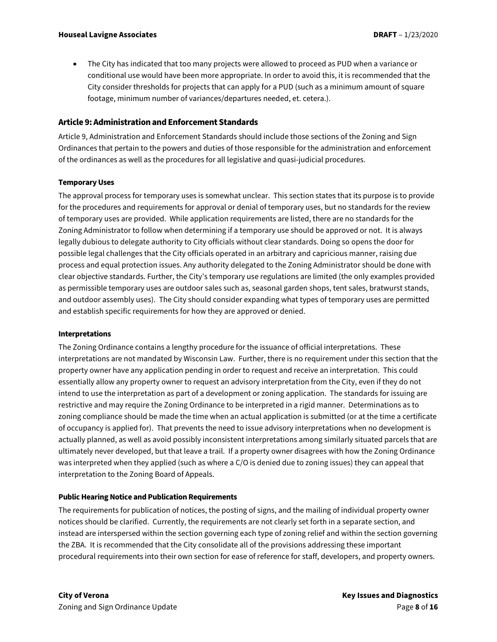• The City has indicated that too many projects were allowed to proceed as PUD when a variance or conditional use would have been more appropriate. In order to avoid this, it is recommended that the City consider thresholds for projects that can apply for a PUD (such as a minimum amount of square footage, minimum number of variances/departures needed, et. cetera.).

#### **Article 9: Administration and Enforcement Standards**

Article 9, Administration and Enforcement Standards should include those sections of the Zoning and Sign Ordinances that pertain to the powers and duties of those responsible for the administration and enforcement of the ordinances as well as the procedures for all legislative and quasi-judicial procedures.

#### **Temporary Uses**

The approval process for temporary uses is somewhat unclear. This section states that its purpose is to provide for the procedures and requirements for approval or denial of temporary uses, but no standards for the review of temporary uses are provided. While application requirements are listed, there are no standards for the Zoning Administrator to follow when determining if a temporary use should be approved or not. It is always legally dubious to delegate authority to City officials without clear standards. Doing so opens the door for possible legal challenges that the City officials operated in an arbitrary and capricious manner, raising due process and equal protection issues. Any authority delegated to the Zoning Administrator should be done with clear objective standards. Further, the City's temporary use regulations are limited (the only examples provided as permissible temporary uses are outdoor sales such as, seasonal garden shops, tent sales, bratwurst stands, and outdoor assembly uses). The City should consider expanding what types of temporary uses are permitted and establish specific requirements for how they are approved or denied.

#### **Interpretations**

The Zoning Ordinance contains a lengthy procedure for the issuance of official interpretations. These interpretations are not mandated by Wisconsin Law. Further, there is no requirement under this section that the property owner have any application pending in order to request and receive an interpretation. This could essentially allow any property owner to request an advisory interpretation from the City, even if they do not intend to use the interpretation as part of a development or zoning application. The standards for issuing are restrictive and may require the Zoning Ordinance to be interpreted in a rigid manner. Determinations as to zoning compliance should be made the time when an actual application is submitted (or at the time a certificate of occupancy is applied for). That prevents the need to issue advisory interpretations when no development is actually planned, as well as avoid possibly inconsistent interpretations among similarly situated parcels that are ultimately never developed, but that leave a trail. If a property owner disagrees with how the Zoning Ordinance was interpreted when they applied (such as where a C/O is denied due to zoning issues) they can appeal that interpretation to the Zoning Board of Appeals.

#### **Public Hearing Notice and Publication Requirements**

The requirements for publication of notices, the posting of signs, and the mailing of individual property owner notices should be clarified. Currently, the requirements are not clearly set forth in a separate section, and instead are interspersed within the section governing each type of zoning relief and within the section governing the ZBA. It is recommended that the City consolidate all of the provisions addressing these important procedural requirements into their own section for ease of reference for staff, developers, and property owners.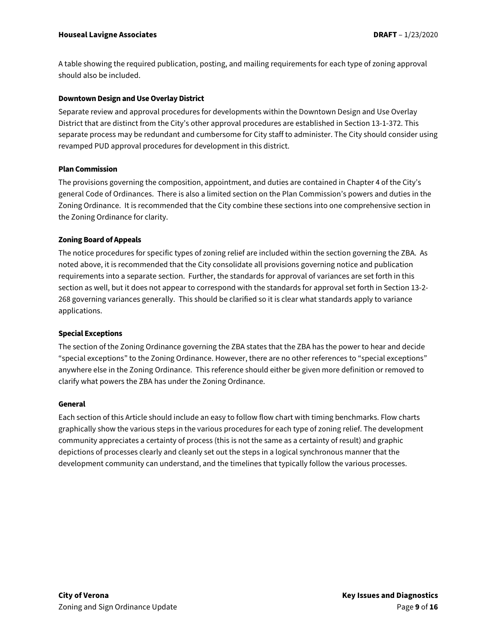A table showing the required publication, posting, and mailing requirements for each type of zoning approval should also be included.

#### **Downtown Design and Use Overlay District**

Separate review and approval procedures for developments within the Downtown Design and Use Overlay District that are distinct from the City's other approval procedures are established in Section 13-1-372. This separate process may be redundant and cumbersome for City staff to administer. The City should consider using revamped PUD approval procedures for development in this district.

#### **Plan Commission**

The provisions governing the composition, appointment, and duties are contained in Chapter 4 of the City's general Code of Ordinances. There is also a limited section on the Plan Commission's powers and duties in the Zoning Ordinance. It is recommended that the City combine these sections into one comprehensive section in the Zoning Ordinance for clarity.

#### **Zoning Board of Appeals**

The notice procedures for specific types of zoning relief are included within the section governing the ZBA. As noted above, it is recommended that the City consolidate all provisions governing notice and publication requirements into a separate section. Further, the standards for approval of variances are set forth in this section as well, but it does not appear to correspond with the standards for approval set forth in Section 13-2- 268 governing variances generally. This should be clarified so it is clear what standards apply to variance applications.

#### **Special Exceptions**

The section of the Zoning Ordinance governing the ZBA states that the ZBA has the power to hear and decide "special exceptions" to the Zoning Ordinance. However, there are no other references to "special exceptions" anywhere else in the Zoning Ordinance. This reference should either be given more definition or removed to clarify what powers the ZBA has under the Zoning Ordinance.

#### **General**

Each section of this Article should include an easy to follow flow chart with timing benchmarks. Flow charts graphically show the various steps in the various procedures for each type of zoning relief. The development community appreciates a certainty of process (this is not the same as a certainty of result) and graphic depictions of processes clearly and cleanly set out the steps in a logical synchronous manner that the development community can understand, and the timelines that typically follow the various processes.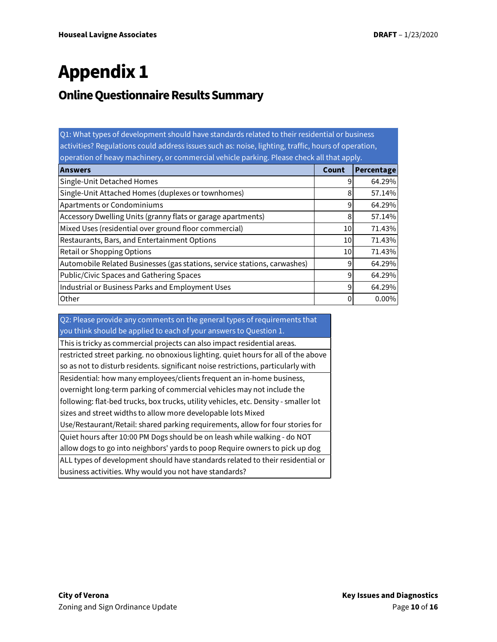# **Appendix 1**

## **Online Questionnaire Results Summary**

| Q1: What types of development should have standards related to their residential or business<br>activities? Regulations could address issues such as: noise, lighting, traffic, hours of operation, |                 |            |  |  |
|-----------------------------------------------------------------------------------------------------------------------------------------------------------------------------------------------------|-----------------|------------|--|--|
| operation of heavy machinery, or commercial vehicle parking. Please check all that apply.                                                                                                           |                 |            |  |  |
| <b>Answers</b>                                                                                                                                                                                      | Count           | Percentage |  |  |
| Single-Unit Detached Homes                                                                                                                                                                          | 9               | 64.29%     |  |  |
| Single-Unit Attached Homes (duplexes or townhomes)                                                                                                                                                  | 8               | 57.14%     |  |  |
| <b>Apartments or Condominiums</b>                                                                                                                                                                   | 9               | 64.29%     |  |  |
| Accessory Dwelling Units (granny flats or garage apartments)                                                                                                                                        | 8               | 57.14%     |  |  |
| Mixed Uses (residential over ground floor commercial)                                                                                                                                               | 10 <sup>1</sup> | 71.43%     |  |  |
| Restaurants, Bars, and Entertainment Options                                                                                                                                                        | 10 <sup>1</sup> | 71.43%     |  |  |
| Retail or Shopping Options                                                                                                                                                                          | 10              | 71.43%     |  |  |
| Automobile Related Businesses (gas stations, service stations, carwashes)                                                                                                                           | 9               | 64.29%     |  |  |
| Public/Civic Spaces and Gathering Spaces                                                                                                                                                            | 9               | 64.29%     |  |  |
| Industrial or Business Parks and Employment Uses                                                                                                                                                    | 9               | 64.29%     |  |  |
| Other                                                                                                                                                                                               | 0               | 0.00%      |  |  |

Q2: Please provide any comments on the general types of requirements that you think should be applied to each of your answers to Question 1.

This is tricky as commercial projects can also impact residential areas.

restricted street parking. no obnoxious lighting. quiet hours for all of the above so as not to disturb residents. significant noise restrictions, particularly with Residential: how many employees/clients frequent an in-home business,

overnight long-term parking of commercial vehicles may not include the

following: flat-bed trucks, box trucks, utility vehicles, etc. Density - smaller lot

sizes and street widths to allow more developable lots Mixed

Use/Restaurant/Retail: shared parking requirements, allow for four stories for Quiet hours after 10:00 PM Dogs should be on leash while walking - do NOT

allow dogs to go into neighbors' yards to poop Require owners to pick up dog

ALL types of development should have standards related to their residential or business activities. Why would you not have standards?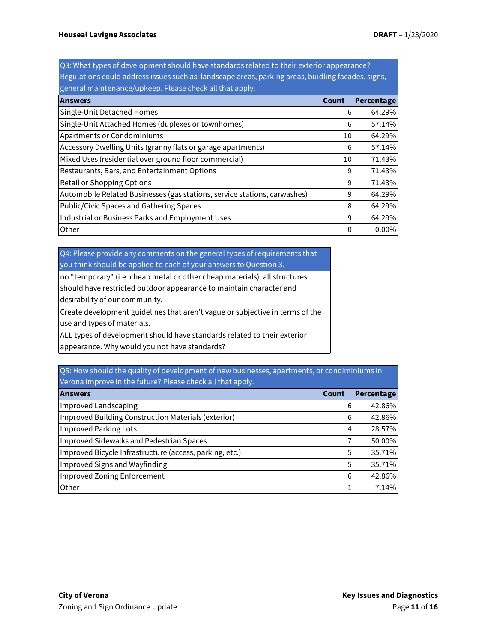Q3: What types of development should have standards related to their exterior appearance? Regulations could address issues such as: landscape areas, parking areas, buidling facades, signs, general maintenance/upkeep. Please check all that apply.

| <b>Answers</b>                                                            | Count           | Percentage   |
|---------------------------------------------------------------------------|-----------------|--------------|
| Single-Unit Detached Homes                                                |                 | 64.29%       |
| Single-Unit Attached Homes (duplexes or townhomes)                        |                 | 57.14%       |
| Apartments or Condominiums                                                |                 | 64.29%<br>10 |
| Accessory Dwelling Units (granny flats or garage apartments)              | 6               | 57.14%       |
| Mixed Uses (residential over ground floor commercial)                     | 10 <sup>1</sup> | 71.43%       |
| Restaurants, Bars, and Entertainment Options                              | 9               | 71.43%       |
| Retail or Shopping Options                                                | 9               | 71.43%       |
| Automobile Related Businesses (gas stations, service stations, carwashes) | 9               | 64.29%       |
| Public/Civic Spaces and Gathering Spaces                                  | 8               | 64.29%       |
| Industrial or Business Parks and Employment Uses                          | 9               | 64.29%       |
| Other                                                                     | 0               | $0.00\%$     |

Q4: Please provide any comments on the general types of requirements that you think should be applied to each of your answers to Question 3.

| no "temporary" (i.e. cheap metal or other cheap materials). all structures    |  |
|-------------------------------------------------------------------------------|--|
| should have restricted outdoor appearance to maintain character and           |  |
| desirability of our community.                                                |  |
| Create development guidelines that aren't vague or subjective in terms of the |  |
| use and types of materials.                                                   |  |
| ALL types of development should have standards related to their exterior      |  |
| appearance. Why would you not have standards?                                 |  |

Q5: How should the quality of development of new businesses, apartments, or condiminiums in Verona improve in the future? Please check all that apply.

| <b>Answers</b>                                          |   | Percentage |  |  |
|---------------------------------------------------------|---|------------|--|--|
| Improved Landscaping                                    |   | 42.86%     |  |  |
| Improved Building Construction Materials (exterior)     | 6 | 42.86%     |  |  |
| Improved Parking Lots                                   | 4 | 28.57%     |  |  |
| Improved Sidewalks and Pedestrian Spaces                |   | 50.00%     |  |  |
| Improved Bicycle Infrastructure (access, parking, etc.) | 5 | 35.71%     |  |  |
| Improved Signs and Wayfinding                           | 5 | 35.71%     |  |  |
| Improved Zoning Enforcement                             | 6 | 42.86%     |  |  |
| Other                                                   |   | 7.14%      |  |  |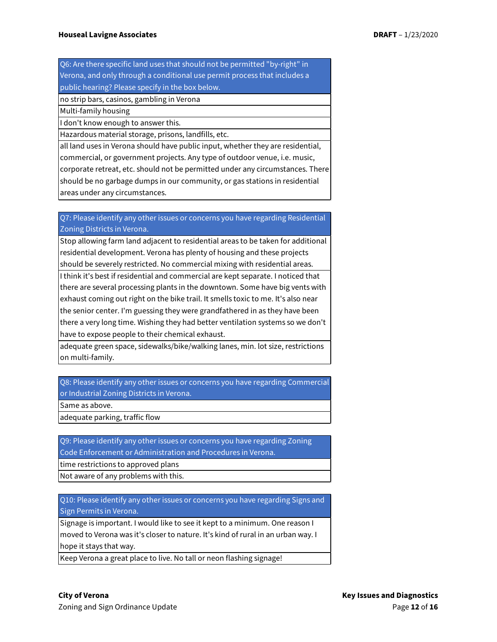Q6: Are there specific land uses that should not be permitted "by-right" in Verona, and only through a conditional use permit process that includes a public hearing? Please specify in the box below.

no strip bars, casinos, gambling in Verona

Multi-family housing

I don't know enough to answer this.

Hazardous material storage, prisons, landfills, etc.

all land uses in Verona should have public input, whether they are residential, commercial, or government projects. Any type of outdoor venue, i.e. music, corporate retreat, etc. should not be permitted under any circumstances. There should be no garbage dumps in our community, or gas stations in residential areas under any circumstances.

Q7: Please identify any other issues or concerns you have regarding Residential Zoning Districts in Verona.

Stop allowing farm land adjacent to residential areas to be taken for additional residential development. Verona has plenty of housing and these projects should be severely restricted. No commercial mixing with residential areas.

I think it's best if residential and commercial are kept separate. I noticed that there are several processing plants in the downtown. Some have big vents with exhaust coming out right on the bike trail. It smells toxic to me. It's also near the senior center. I'm guessing they were grandfathered in as they have been there a very long time. Wishing they had better ventilation systems so we don't have to expose people to their chemical exhaust.

adequate green space, sidewalks/bike/walking lanes, min. lot size, restrictions on multi-family.

Q8: Please identify any other issues or concerns you have regarding Commercial or Industrial Zoning Districts in Verona.

Same as above.

adequate parking, traffic flow

Q9: Please identify any other issues or concerns you have regarding Zoning Code Enforcement or Administration and Procedures in Verona.

time restrictions to approved plans

Not aware of any problems with this.

Q10: Please identify any other issues or concerns you have regarding Signs and Sign Permits in Verona.

Signage is important. I would like to see it kept to a minimum. One reason I moved to Verona was it's closer to nature. It's kind of rural in an urban way. I hope it stays that way.

Keep Verona a great place to live. No tall or neon flashing signage!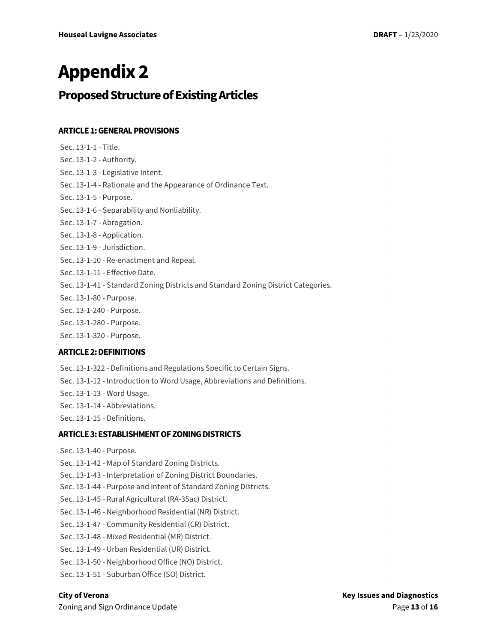# **Appendix 2**

## **Proposed Structure of Existing Articles**

## **ARTICLE 1: GENERAL PROVISIONS**

| Sec. 13-1-1 - Title.                                                              |
|-----------------------------------------------------------------------------------|
| Sec. 13-1-2 - Authority.                                                          |
| Sec. 13-1-3 - Legislative Intent.                                                 |
| Sec. 13-1-4 - Rationale and the Appearance of Ordinance Text.                     |
| Sec. 13-1-5 - Purpose.                                                            |
| Sec. 13-1-6 - Separability and Nonliability.                                      |
| Sec. 13-1-7 - Abrogation.                                                         |
| Sec. 13-1-8 - Application.                                                        |
| Sec. 13-1-9 - Jurisdiction.                                                       |
| Sec. 13-1-10 - Re-enactment and Repeal.                                           |
| Sec. 13-1-11 - Effective Date.                                                    |
| Sec. 13-1-41 - Standard Zoning Districts and Standard Zoning District Categories. |
| Sec. 13-1-80 - Purpose.                                                           |
| Sec. 13-1-240 - Purpose.                                                          |
| Sec. 13-1-280 - Purpose.                                                          |
| Sec. 13-1-320 - Purpose.                                                          |
| <b>ARTICLE 2: DEFINITIONS</b>                                                     |
| Sec. 13-1-322 - Definitions and Regulations Specific to Certain Signs.            |
| Sec. 13-1-12 - Introduction to Word Usage, Abbreviations and Definitions.         |
| Sec. 13-1-13 - Word Usage.                                                        |
| Sec. 13-1-14 - Abbreviations.                                                     |
| Sec. 13-1-15 - Definitions.                                                       |
| <b>ARTICLE 3: ESTABLISHMENT OF ZONING DISTRICTS</b>                               |
| Sec. 13-1-40 - Purpose.                                                           |
| Sec. 13-1-42 - Map of Standard Zoning Districts.                                  |
| Sec. 13-1-43 - Interpretation of Zoning District Boundaries.                      |
| Sec. 13-1-44 - Purpose and Intent of Standard Zoning Districts.                   |
|                                                                                   |
| Sec. 13-1-45 - Rural Agricultural (RA-35ac) District.                             |
| Sec. 13-1-46 - Neighborhood Residential (NR) District.                            |
| Sec. 13-1-47 - Community Residential (CR) District.                               |
| Sec. 13-1-48 - Mixed Residential (MR) District.                                   |
| Sec. 13-1-49 - Urban Residential (UR) District.                                   |
| Sec. 13-1-50 - Neighborhood Office (NO) District.                                 |
| Sec. 13-1-51 - Suburban Office (SO) District.                                     |

Zoning and Sign Ordinance Update **Page 13** of **16 Page 13** of **16**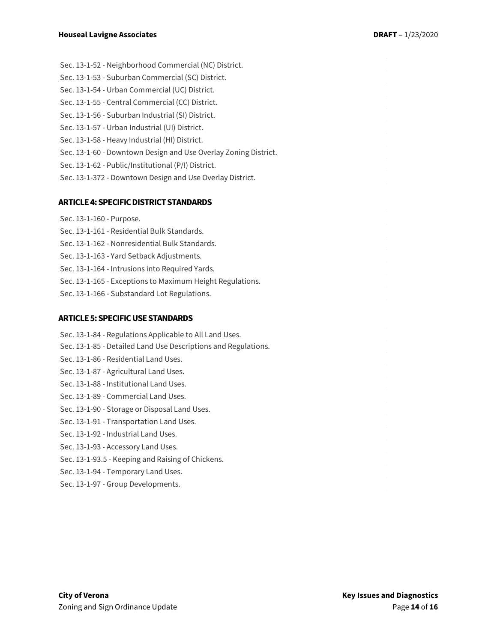- Sec. 13-1-52 Neighborhood Commercial (NC) District.
- Sec. 13-1-53 Suburban Commercial (SC) District.
- Sec. 13-1-54 Urban Commercial (UC) District.
- Sec. 13-1-55 Central Commercial (CC) District.
- Sec. 13-1-56 Suburban Industrial (SI) District.
- Sec. 13-1-57 Urban Industrial (UI) District.
- Sec. 13-1-58 Heavy Industrial (HI) District.
- Sec. 13-1-60 Downtown Design and Use Overlay Zoning District.
- Sec. 13-1-62 Public/Institutional (P/I) District.
- Sec. 13-1-372 Downtown Design and Use Overlay District.

#### **ARTICLE 4: SPECIFIC DISTRICT STANDARDS**

- Sec. 13-1-160 Purpose.
- Sec. 13-1-161 Residential Bulk Standards.
- Sec. 13-1-162 Nonresidential Bulk Standards.
- Sec. 13-1-163 Yard Setback Adjustments.
- Sec. 13-1-164 Intrusions into Required Yards.
- Sec. 13-1-165 Exceptions to Maximum Height Regulations.
- Sec. 13-1-166 Substandard Lot Regulations.

#### **ARTICLE 5: SPECIFIC USE STANDARDS**

- Sec. 13-1-84 Regulations Applicable to All Land Uses. Sec. 13-1-85 - Detailed Land Use Descriptions and Regulations. Sec. 13-1-86 - Residential Land Uses. Sec. 13-1-87 - Agricultural Land Uses. Sec. 13-1-88 - Institutional Land Uses. Sec. 13-1-89 - Commercial Land Uses. Sec. 13-1-90 - Storage or Disposal Land Uses. Sec. 13-1-91 - Transportation Land Uses. Sec. 13-1-92 - Industrial Land Uses. Sec. 13-1-93 - Accessory Land Uses. Sec. 13-1-93.5 - Keeping and Raising of Chickens. Sec. 13-1-94 - Temporary Land Uses.
- Sec. 13-1-97 Group Developments.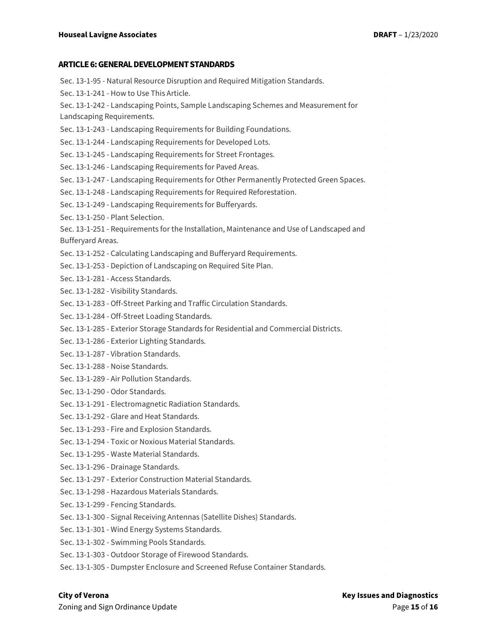#### **ARTICLE 6: GENERAL DEVELOPMENT STANDARDS**

- Sec. 13-1-95 Natural Resource Disruption and Required Mitigation Standards. Sec. 13-1-241 - How to Use This Article. Sec. 13-1-242 - Landscaping Points, Sample Landscaping Schemes and Measurement for Landscaping Requirements. Sec. 13-1-243 - Landscaping Requirements for Building Foundations. Sec. 13-1-244 - Landscaping Requirements for Developed Lots. Sec. 13-1-245 - Landscaping Requirements for Street Frontages. Sec. 13-1-246 - Landscaping Requirements for Paved Areas. Sec. 13-1-247 - Landscaping Requirements for Other Permanently Protected Green Spaces. Sec. 13-1-248 - Landscaping Requirements for Required Reforestation. Sec. 13-1-249 - Landscaping Requirements for Bufferyards. Sec. 13-1-250 - Plant Selection. Sec. 13-1-251 - Requirements for the Installation, Maintenance and Use of Landscaped and Bufferyard Areas. Sec. 13-1-252 - Calculating Landscaping and Bufferyard Requirements. Sec. 13-1-253 - Depiction of Landscaping on Required Site Plan. Sec. 13-1-281 - Access Standards. Sec. 13-1-282 - Visibility Standards. Sec. 13-1-283 - Off-Street Parking and Traffic Circulation Standards. Sec. 13-1-284 - Off-Street Loading Standards. Sec. 13-1-285 - Exterior Storage Standards for Residential and Commercial Districts. Sec. 13-1-286 - Exterior Lighting Standards. Sec. 13-1-287 - Vibration Standards. Sec. 13-1-288 - Noise Standards. Sec. 13-1-289 - Air Pollution Standards. Sec. 13-1-290 - Odor Standards. Sec. 13-1-291 - Electromagnetic Radiation Standards. Sec. 13-1-292 - Glare and Heat Standards. Sec. 13-1-293 - Fire and Explosion Standards. Sec. 13-1-294 - Toxic or Noxious Material Standards. Sec. 13-1-295 - Waste Material Standards. Sec. 13-1-296 - Drainage Standards. Sec. 13-1-297 - Exterior Construction Material Standards. Sec. 13-1-298 - Hazardous Materials Standards. Sec. 13-1-299 - Fencing Standards. Sec. 13-1-300 - Signal Receiving Antennas (Satellite Dishes) Standards. Sec. 13-1-301 - Wind Energy Systems Standards. Sec. 13-1-302 - Swimming Pools Standards. Sec. 13-1-303 - Outdoor Storage of Firewood Standards.
- Sec. 13-1-305 Dumpster Enclosure and Screened Refuse Container Standards.

Zoning and Sign Ordinance Update Page **15** of **16**